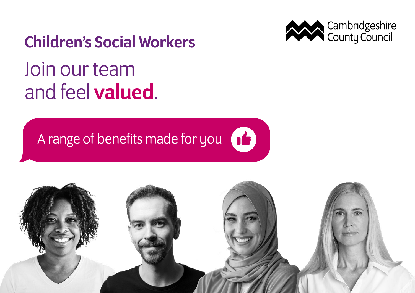

## Children's Social Workers

# Join our team and feel valued.

## A range of benefits made for you  $\begin{pmatrix} 1 \\ 2 \end{pmatrix}$

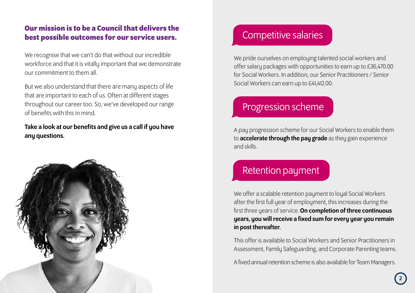#### **Our mission is to be a Council that delivers the best possible outcomes for our service users.**

We recognise that we can't do that without our incredible workforce and that it is vitally important that we demonstrate our commitment to them all.

But we also understand that there are many aspects of life that are important to each of us. Often at different stages throughout our career too. So, we've developed our range of benefits with this in mind.

#### Take a look at our benefits and give us a call if you have any questions.



### Competitive salaries

We pride ourselves on employing talented social workers and offer salary packages with opportunities to earn up to £36,470.00 for Social Workers. In addition, our Senior Practitioners / Senior Social Workers can earn up to £41,412.00.

### Progression scheme

A pay progression scheme for our Social Workers to enable them to **accelerate through the pay grade** as they gain experience and skills.

### Retention payment

We offer a scalable retention payment to loual Social Workers after the first full year of employment, this increases during the first three years of service. On completion of three continuous years, you will receive a fixed sum for every year you remain in post thereafter.

This offer is available to Social Workers and Senior Practitioners in Assessment, Family Safeguarding, and Corporate Parenting teams.

A fixed annual retention scheme is also available for Team Managers.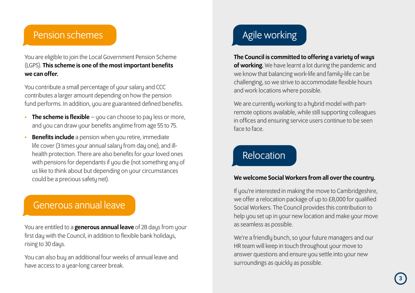#### Pension schemes

You are eligible to join the Local Government Pension Scheme (LGPS). This scheme is one of the most important benefits we can offer.

You contribute a small percentage of your salary and CCC contributes a larger amount depending on how the pension fund performs. In addition, you are guaranteed defined benefits.

- $\cdot$  The scheme is flexible you can choose to pay less or more. and you can draw your benefits anytime from age 55 to 75.
- **Benefits include** a pension when you retire, immediate life cover (3 times your annual salary from day one), and illhealth protection. There are also benefits for your loved ones with pensions for dependants if you die (not something any of us like to think about but depending on your circumstances could be a precious safetu net).

#### Generous annual leave

You are entitled to a **generous annual leave** of 28 days from your first day with the Council, in addition to flexible bank holidays, rising to 30 days.

You can also buy an additional four weeks of annual leave and have access to a year-long career break.

### Agile working

#### The Council is committed to offering a variety of ways

of working. We have learnt a lot during the pandemic and we know that balancing work-life and family-life can be challenging, so we strive to accommodate flexible hours and work locations where possible.

We are currently working to a hybrid model with partremote options available, while still supporting colleagues in offices and ensuring service users continue to be seen face to face.

### Relocation

#### We welcome Social Workers from all over the countru.

If you're interested in making the move to Cambridgeshire. we offer a relocation package of up to £8,000 for qualified Social Workers. The Council provides this contribution to help you set up in your new location and make your move as seamless as possible.

We're a friendly bunch, so your future managers and our HR team will keep in touch throughout your move to answer questions and ensure you settle into your new surroundings as quickly as possible.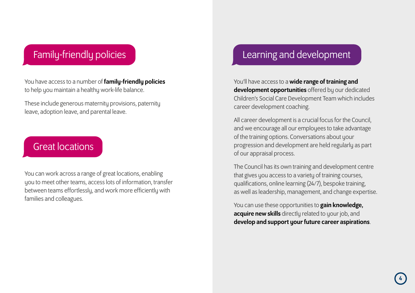### Family-friendly policies

You have access to a number of **family-friendly policies** to help you maintain a healthy work-life balance.

These include generous maternity provisions, paternity leave, adoption leave, and parental leave.

### Great locations

You can work across a range of great locations, enabling you to meet other teams, access lots of information, transfer between teams effortlessly, and work more efficiently with families and colleagues.

#### Learning and development

You'll have access to a **wide range of training and** development opportunities offered by our dedicated Children's Social Care Development Team which includes career development coaching.

All career development is a crucial focus for the Council, and we encourage all our employees to take advantage of the training options. Conversations about your progression and development are held regularly as part of our appraisal process.

The Council has its own training and development centre that gives you access to a variety of training courses, qualifications, online learning (24/7), bespoke training, as well as leadership, management, and change expertise.

You can use these opportunities to gain knowledge, acquire new skills directly related to your job, and develop and support your future career aspirations.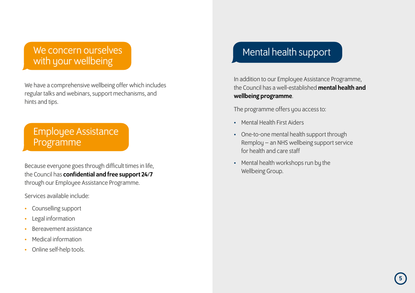#### We concern ourselves with your wellbeing

We have a comprehensive wellbeing offer which includes regular talks and webinars, support mechanisms, and hints and tips.

#### Employee Assistance Programme

Because everyone goes through difficult times in life, the Council has confidential and free support 24/7 through our Employee Assistance Programme.

Services available include:

- Counselling support
- Legal information
- Bereavement assistance
- Medical information
- Online self-help tools.

### Mental health support

In addition to our Employee Assistance Programme, the Council has a well-established mental health and wellbeing programme.

The programme offers you access to:

- Mental Health First Aiders
- One-to-one mental health support through Remploy – an NHS wellbeing support service for health and care staff
- Mental health workshops run by the Wellbeing Group.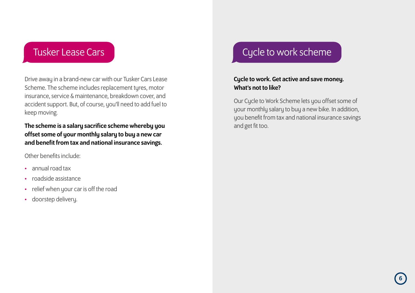Drive away in a brand-new car with our Tusker Cars Lease Scheme. The scheme includes replacement tyres, motor insurance, service & maintenance, breakdown cover, and accident support. But, of course, you'll need to add fuel to keep moving.

The scheme is a salary sacrifice scheme whereby you offset some of your monthly salary to buy a new car and benefit from tax and national insurance savings.

Other benefits include:

- annual road tax
- roadside assistance
- relief when your car is off the road
- doorstep delivery.

### Tusker Lease Cars Current Current Current Current Current Current Current Current Current Current Current Curr

#### Cycle to work. Get active and save money. What's not to like?

Our Cycle to Work Scheme lets you offset some of your monthly salary to buy a new bike. In addition, you benefit from tax and national insurance savings and get fit too.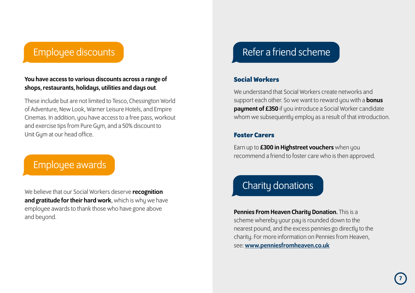#### Employee discounts

#### You have access to various discounts across a range of shops, restaurants, holidays, utilities and days out.

These include but are not limited to Tesco, Chessington World of Adventure, New Look, Warner Leisure Hotels, and Empire Cinemas. In addition, you have access to a free pass, workout and exercise tips from Pure Gum, and a 50% discount to Unit Gym at our head office.

#### Employee awards

We believe that our Social Workers deserve recognition and gratitude for their hard work, which is why we have employee awards to thank those who have gone above and beyond.

#### Refer a friend scheme

#### **Social Workers**

We understand that Social Workers create networks and support each other. So we want to reward you with a **bonus** payment of £350 if you introduce a Social Worker candidate whom we subsequently employ as a result of that introduction.

#### **Foster Carers**

Earn up to £300 in Highstreet vouchers when you recommend a friend to foster care who is then approved.

## Charity donations

Pennies From Heaven Charity Donation. This is a scheme whereby your pay is rounded down to the nearest pound, and the excess pennies go directly to the charity. For more information on Pennies from Heaven, see: www.penniesfromheaven.co.uk